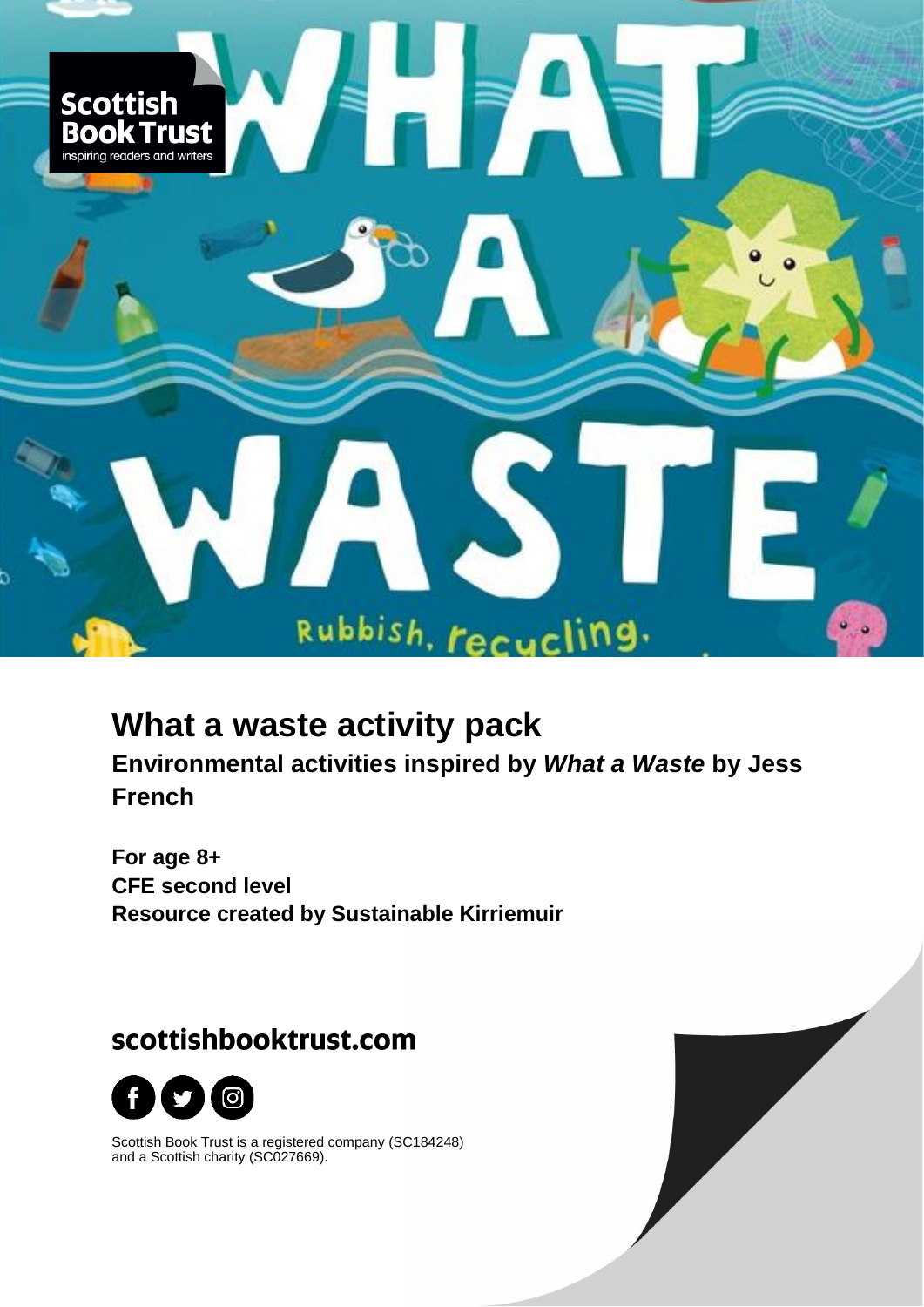

# **What a waste activity pack**

**Environmental activities inspired by** *What a Waste* **by Jess French**

**For age 8+ CFE second level Resource created by Sustainable Kirriemuir**

# scottishbooktrust.com



Scottish Book Trust is a registered company (SC184248) and a Scottish charity (SC027669).

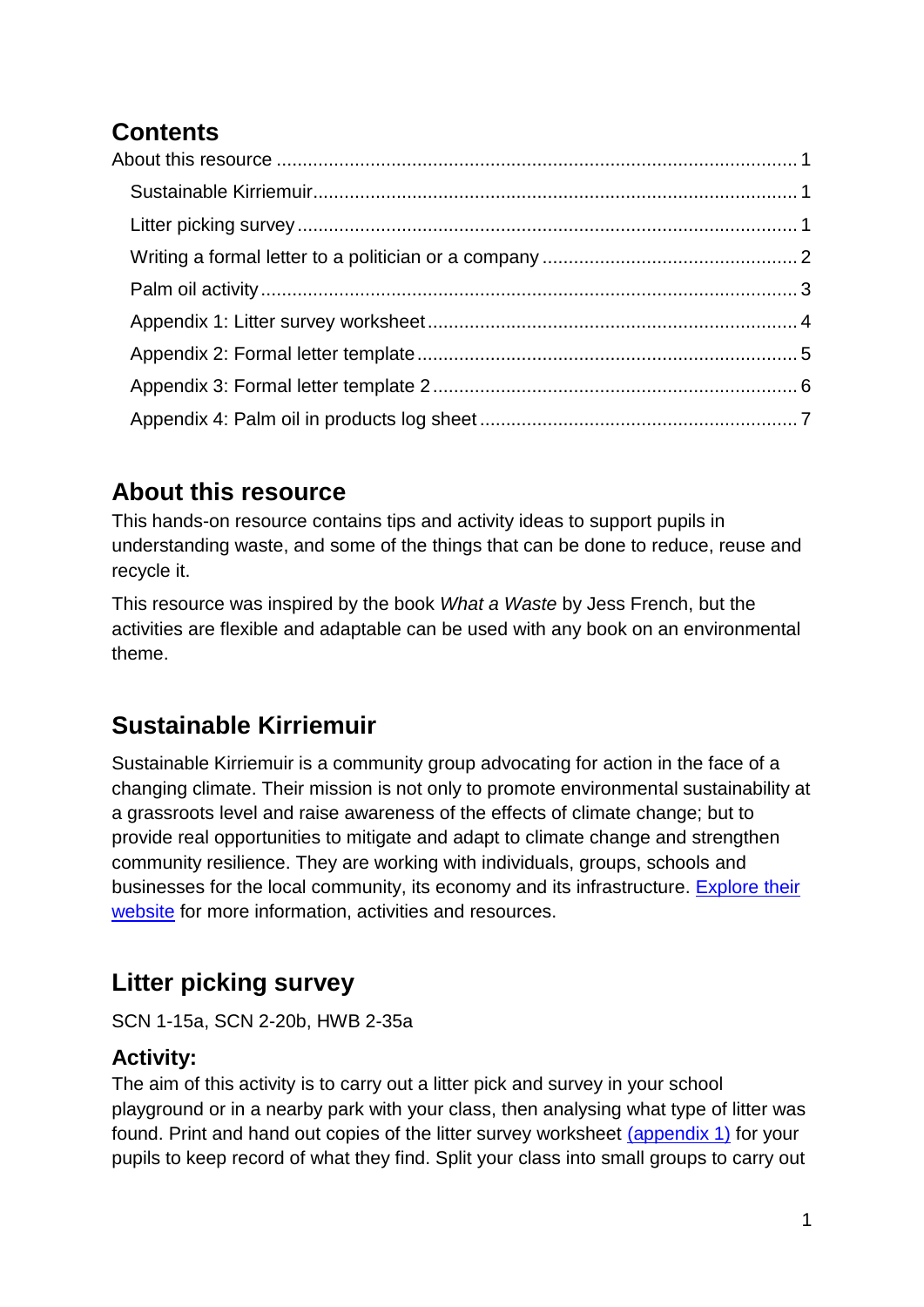# **Contents**

## <span id="page-1-0"></span>**About this resource**

This hands-on resource contains tips and activity ideas to support pupils in understanding waste, and some of the things that can be done to reduce, reuse and recycle it.

This resource was inspired by the book *What a Waste* by Jess French, but the activities are flexible and adaptable can be used with any book on an environmental theme.

# <span id="page-1-1"></span>**Sustainable Kirriemuir**

Sustainable Kirriemuir is a community group advocating for action in the face of a changing climate. Their mission is not only to promote environmental sustainability at a grassroots level and raise awareness of the effects of climate change; but to provide real opportunities to mitigate and adapt to climate change and strengthen community resilience. They are working with individuals, groups, schools and businesses for the local community, its economy and its infrastructure. [Explore their](https://www.sustainablekirriemuir.co.uk/)  [website](https://www.sustainablekirriemuir.co.uk/) for more information, activities and resources.

# <span id="page-1-2"></span>**Litter picking survey**

SCN 1-15a, SCN 2-20b, HWB 2-35a

#### **Activity:**

The aim of this activity is to carry out a litter pick and survey in your school playground or in a nearby park with your class, then analysing what type of litter was found. Print and hand out copies of the litter survey worksheet [\(appendix 1\)](#page-4-0) for your pupils to keep record of what they find. Split your class into small groups to carry out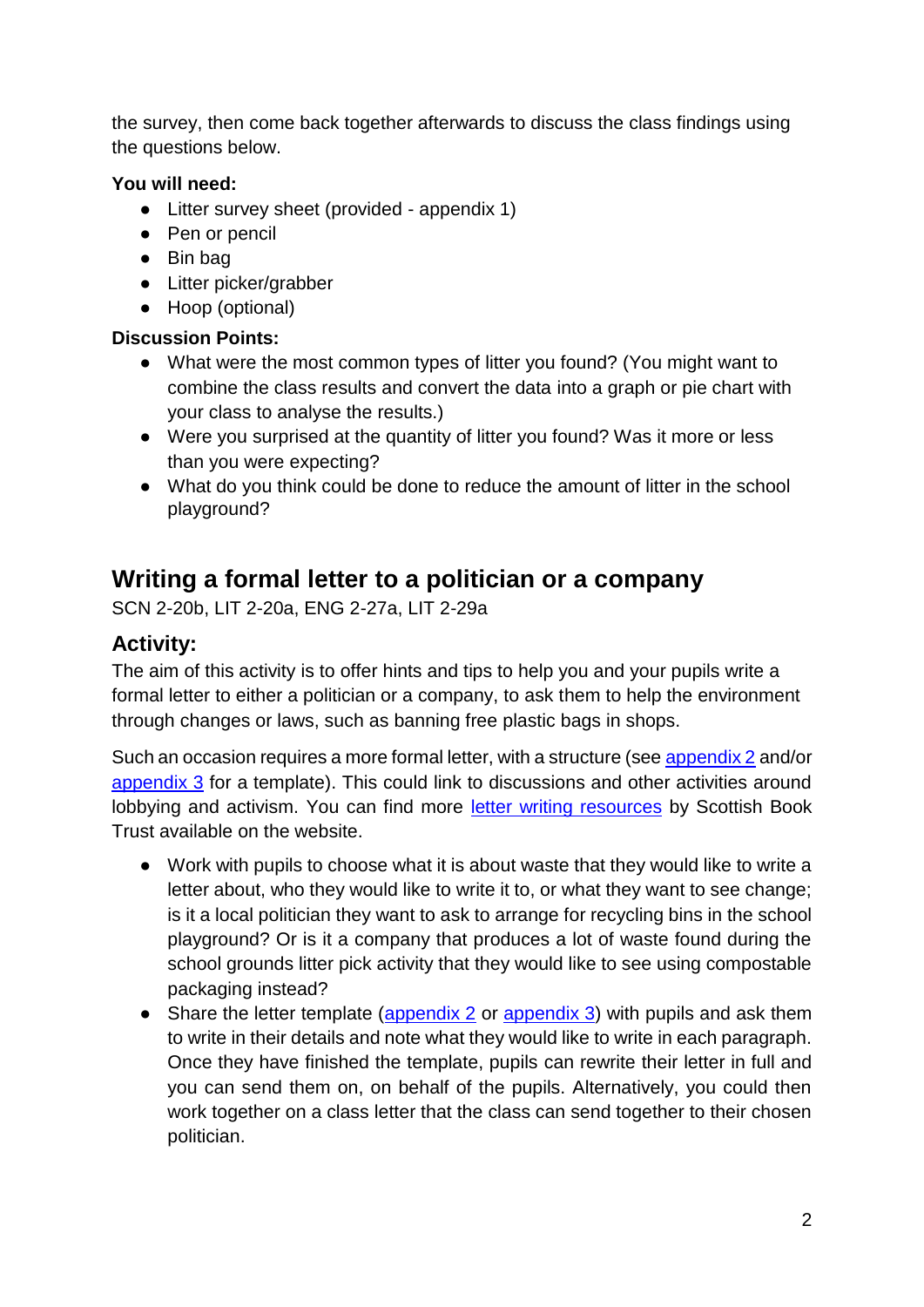the survey, then come back together afterwards to discuss the class findings using the questions below.

#### **You will need:**

- Litter survey sheet (provided appendix 1)
- Pen or pencil
- Bin bag
- Litter picker/grabber
- Hoop (optional)

#### **Discussion Points:**

- What were the most common types of litter you found? (You might want to combine the class results and convert the data into a graph or pie chart with your class to analyse the results.)
- Were you surprised at the quantity of litter you found? Was it more or less than you were expecting?
- What do you think could be done to reduce the amount of litter in the school playground?

## <span id="page-2-0"></span>**Writing a formal letter to a politician or a company**

SCN 2-20b, LIT 2-20a, ENG 2-27a, LIT 2-29a

#### **Activity:**

The aim of this activity is to offer hints and tips to help you and your pupils write a formal letter to either a politician or a company, to ask them to help the environment through changes or laws, such as banning free plastic bags in shops.

Such an occasion requires a more formal letter, with a structure (see [appendix 2](#page-5-0) and/or [appendix 3](#page-6-0) for a template). This could link to discussions and other activities around lobbying and activism. You can find more [letter writing resources](https://www.scottishbooktrust.com/learning-resources/top-tips-for-letter-writing) by Scottish Book Trust available on the website.

- Work with pupils to choose what it is about waste that they would like to write a letter about, who they would like to write it to, or what they want to see change; is it a local politician they want to ask to arrange for recycling bins in the school playground? Or is it a company that produces a lot of waste found during the school grounds litter pick activity that they would like to see using compostable packaging instead?
- Share the letter template [\(appendix 2](#page-5-0) or [appendix 3\)](#page-6-0) with pupils and ask them to write in their details and note what they would like to write in each paragraph. Once they have finished the template, pupils can rewrite their letter in full and you can send them on, on behalf of the pupils. Alternatively, you could then work together on a class letter that the class can send together to their chosen politician.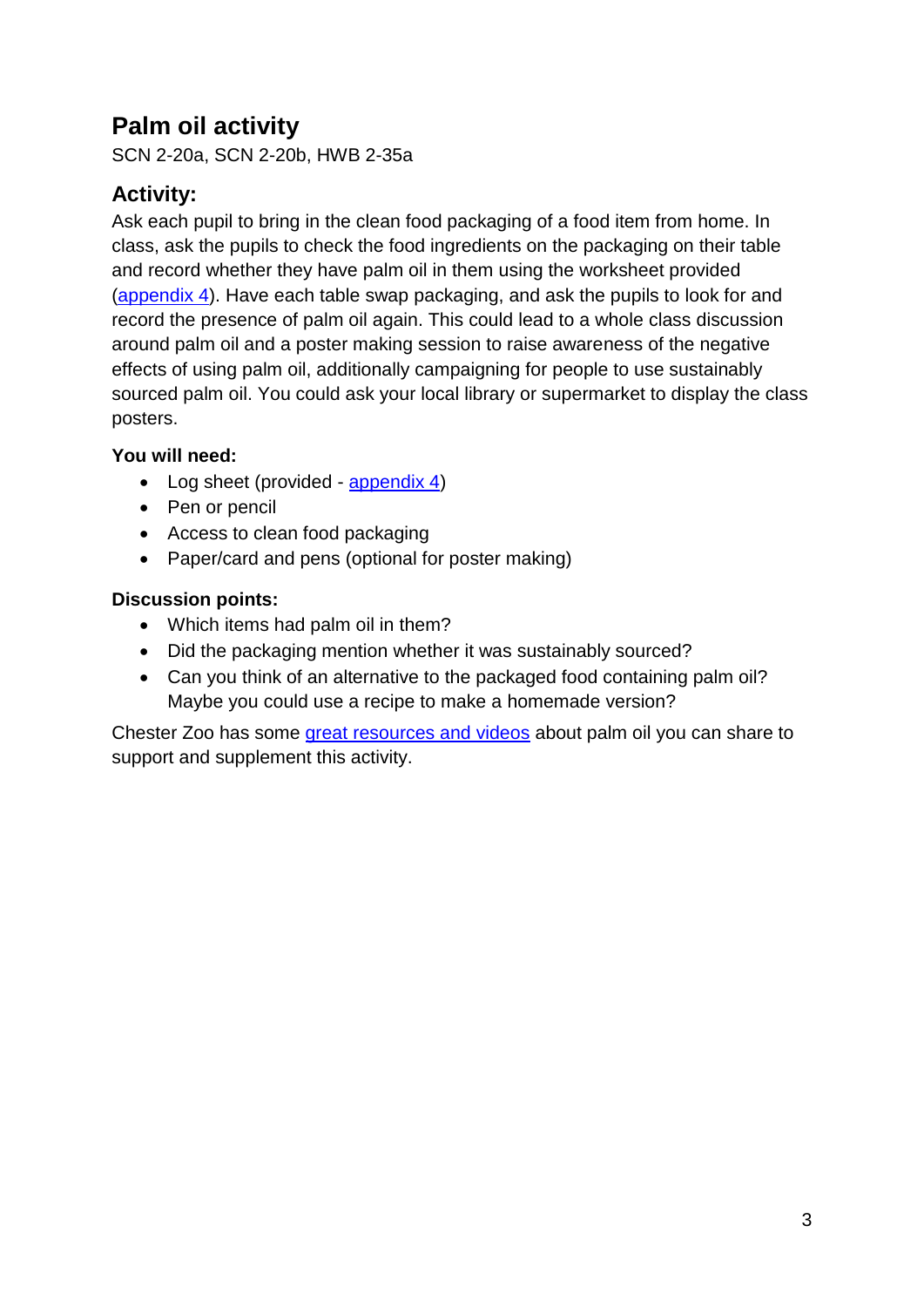## <span id="page-3-0"></span>**Palm oil activity**

SCN 2-20a, SCN 2-20b, HWB 2-35a

### **Activity:**

Ask each pupil to bring in the clean food packaging of a food item from home. In class, ask the pupils to check the food ingredients on the packaging on their table and record whether they have palm oil in them using the worksheet provided [\(appendix 4\)](#page-7-0). Have each table swap packaging, and ask the pupils to look for and record the presence of palm oil again. This could lead to a whole class discussion around palm oil and a poster making session to raise awareness of the negative effects of using palm oil, additionally campaigning for people to use sustainably sourced palm oil. You could ask your local library or supermarket to display the class posters.

#### **You will need:**

- Log sheet (provided [appendix 4\)](#page-7-0)
- Pen or pencil
- Access to clean food packaging
- Paper/card and pens (optional for poster making)

#### **Discussion points:**

- Which items had palm oil in them?
- Did the packaging mention whether it was sustainably sourced?
- Can you think of an alternative to the packaged food containing palm oil? Maybe you could use a recipe to make a homemade version?

Chester Zoo has some [great resources and videos](https://www.chesterzoo.org/what-you-can-do/our-campaigns/sustainable-palm-oil/) about palm oil you can share to support and supplement this activity.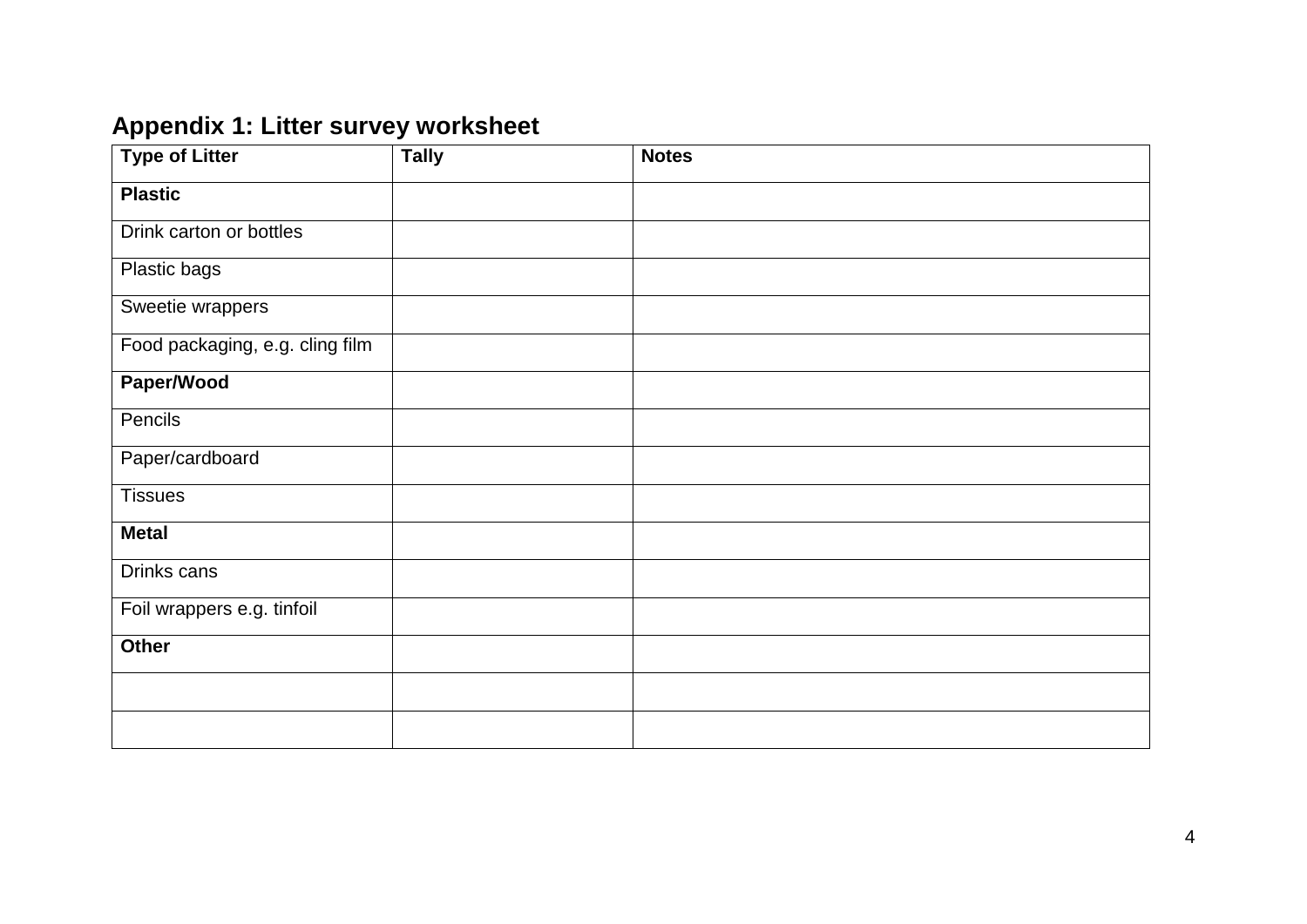# **Appendix 1: Litter survey worksheet**

<span id="page-4-0"></span>

| <b>Type of Litter</b>           | <b>Tally</b> | <b>Notes</b> |
|---------------------------------|--------------|--------------|
| <b>Plastic</b>                  |              |              |
| Drink carton or bottles         |              |              |
| Plastic bags                    |              |              |
| Sweetie wrappers                |              |              |
| Food packaging, e.g. cling film |              |              |
| Paper/Wood                      |              |              |
| Pencils                         |              |              |
| Paper/cardboard                 |              |              |
| <b>Tissues</b>                  |              |              |
| <b>Metal</b>                    |              |              |
| Drinks cans                     |              |              |
| Foil wrappers e.g. tinfoil      |              |              |
| <b>Other</b>                    |              |              |
|                                 |              |              |
|                                 |              |              |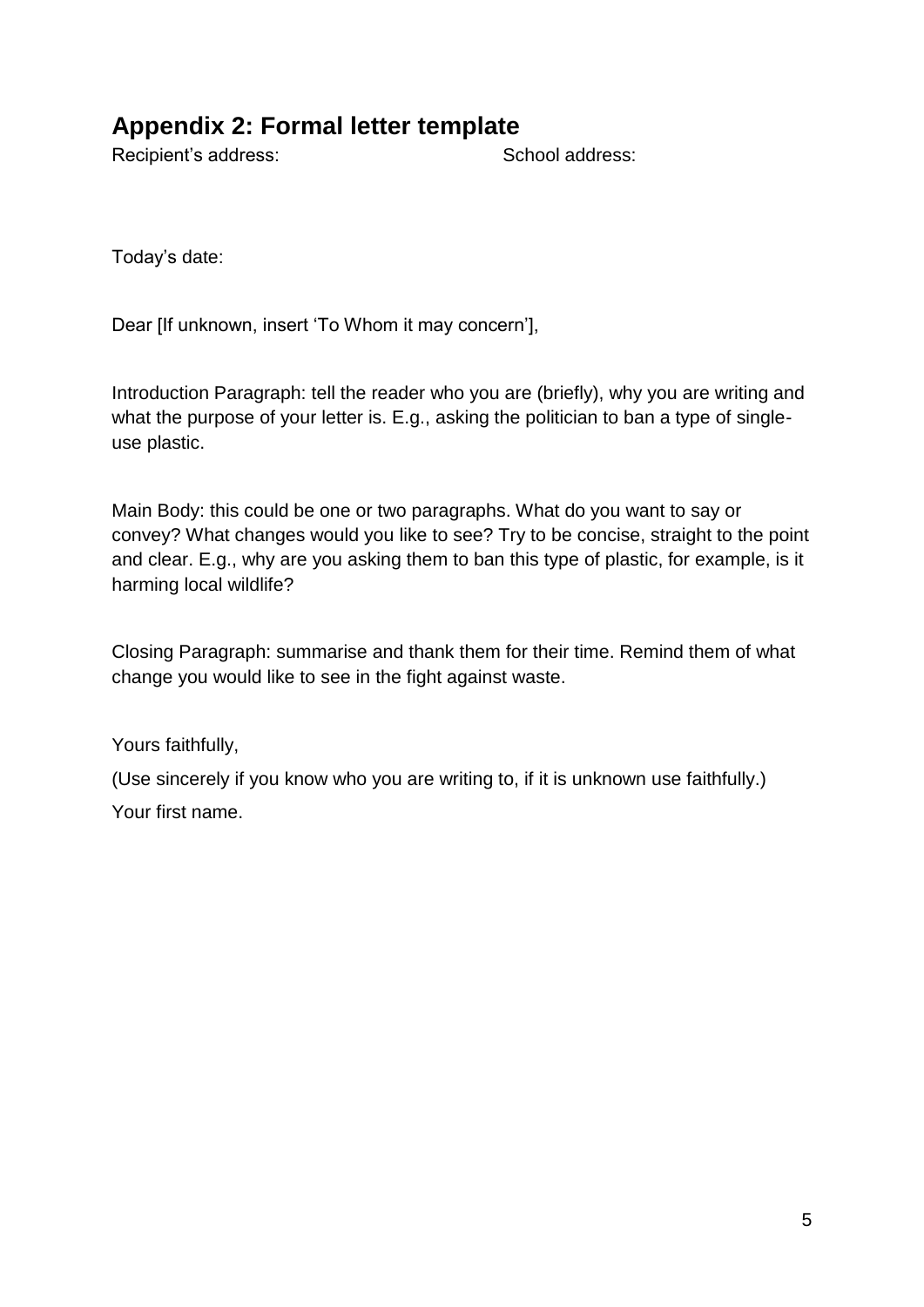### <span id="page-5-0"></span>**Appendix 2: Formal letter template**

Recipient's address: School address:

Today's date:

Dear [If unknown, insert 'To Whom it may concern'],

Introduction Paragraph: tell the reader who you are (briefly), why you are writing and what the purpose of your letter is. E.g., asking the politician to ban a type of singleuse plastic.

Main Body: this could be one or two paragraphs. What do you want to say or convey? What changes would you like to see? Try to be concise, straight to the point and clear. E.g., why are you asking them to ban this type of plastic, for example, is it harming local wildlife?

Closing Paragraph: summarise and thank them for their time. Remind them of what change you would like to see in the fight against waste.

Yours faithfully,

(Use sincerely if you know who you are writing to, if it is unknown use faithfully.) Your first name.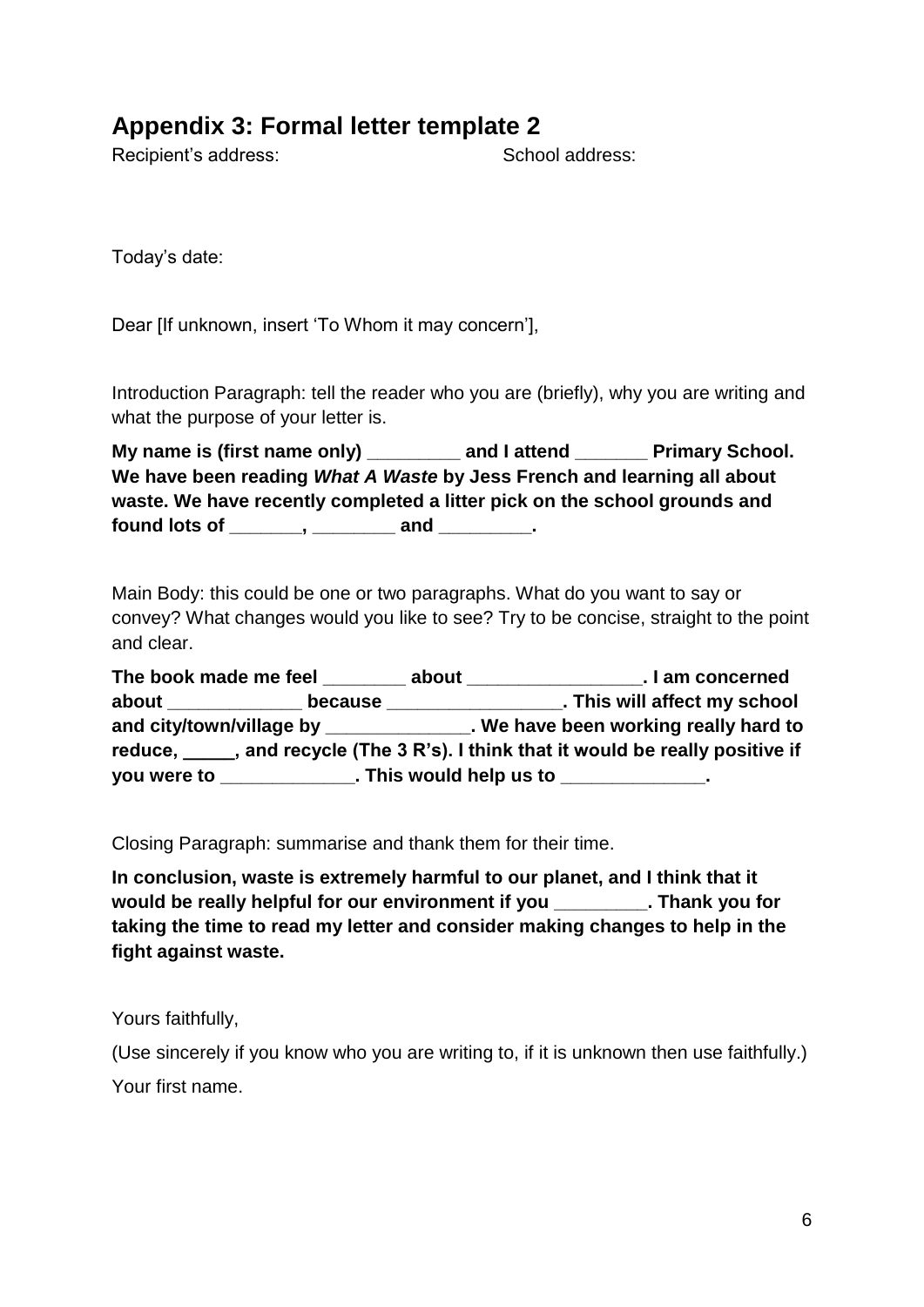### <span id="page-6-0"></span>**Appendix 3: Formal letter template 2**

Recipient's address: School address:

Today's date:

Dear [If unknown, insert 'To Whom it may concern'],

Introduction Paragraph: tell the reader who you are (briefly), why you are writing and what the purpose of your letter is.

| My name is (first name only)                                              | and I attend | <b>Primary School.</b><br><b>All Contract Contract Contract</b> |  |  |  |  |  |
|---------------------------------------------------------------------------|--------------|-----------------------------------------------------------------|--|--|--|--|--|
| We have been reading What A Waste by Jess French and learning all about   |              |                                                                 |  |  |  |  |  |
| waste. We have recently completed a litter pick on the school grounds and |              |                                                                 |  |  |  |  |  |
| found lots of<br>and                                                      |              |                                                                 |  |  |  |  |  |

Main Body: this could be one or two paragraphs. What do you want to say or convey? What changes would you like to see? Try to be concise, straight to the point and clear.

| The book made me feel                                                        |                             | about | . I am concerned                    |  |  |  |  |
|------------------------------------------------------------------------------|-----------------------------|-------|-------------------------------------|--|--|--|--|
| about                                                                        | because                     |       | . This will affect my school        |  |  |  |  |
|                                                                              |                             |       | We have been working really hard to |  |  |  |  |
| reduce, and recycle (The 3 R's). I think that it would be really positive if |                             |       |                                     |  |  |  |  |
| you were to                                                                  | <u> 1999 - Jan Jan Jawa</u> |       | . This would help us to             |  |  |  |  |

Closing Paragraph: summarise and thank them for their time.

**In conclusion, waste is extremely harmful to our planet, and I think that it would be really helpful for our environment if you \_\_\_\_\_\_\_\_\_. Thank you for taking the time to read my letter and consider making changes to help in the fight against waste.** 

Yours faithfully,

(Use sincerely if you know who you are writing to, if it is unknown then use faithfully.)

Your first name.